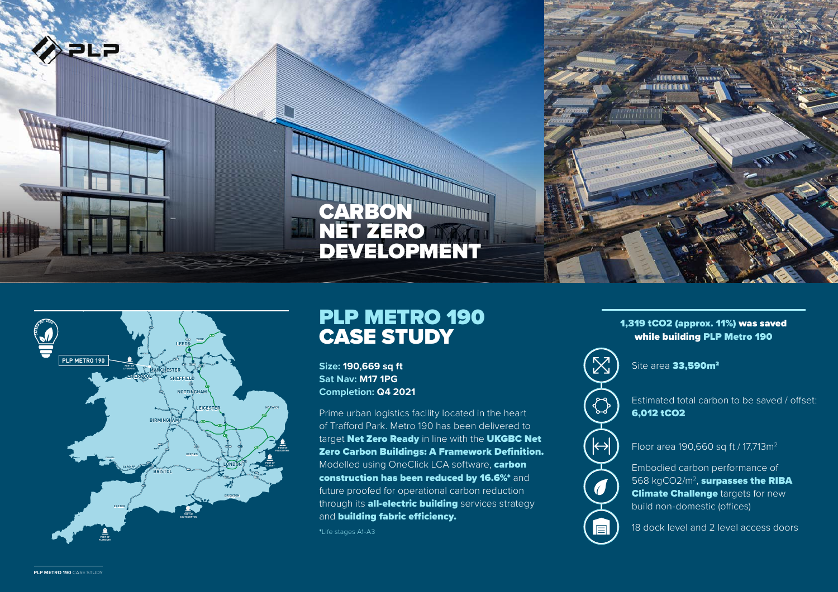



# PLP METRO 190 CASE STUDY

**Size: 190,669 sq ft Sat Nav: M17 1PG Completion: Q4 2021** 

Prime urban logistics facility located in the heart of Trafford Park. Metro 190 has been delivered to target Net Zero Ready in line with the UKGBC Net Zero Carbon Buildings: A Framework Definition. Modelled using OneClick LCA software, carbon construction has been reduced by 16.6%\* and future proofed for operational carbon reduction through its **all-electric building** services strategy and building fabric efficiency.

**\***Life stages A1-A3

#### 1,319 tCO2 (approx. 11%) was saved while building PLP Metro 190



 $\mathcal{L}$ 

 $|\leftrightarrow|$ 

**A** 

 $\blacksquare$ 

Site area 33.590m<sup>2</sup>



Floor area 190,660 sq ft / 17,713m2

Embodied carbon performance of 568 kgCO2/m<sup>2</sup>, surpasses the RIBA **Climate Challenge targets for new** build non-domestic (offices)

18 dock level and 2 level access doors